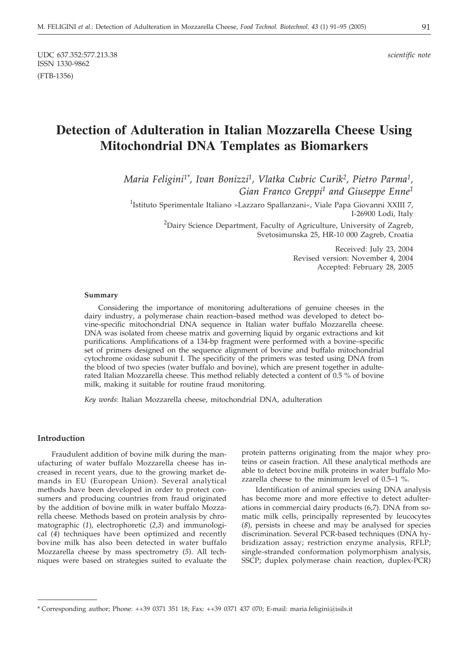UDC 637.352:577.213.38 *scientific note* ISSN 1330-9862 (FTB-1356)

# **Detection of Adulteration in Italian Mozzarella Cheese Using Mitochondrial DNA Templates as Biomarkers**

*Maria Feligini1\*, Ivan Bonizzi1, Vlatka Cubric Curik2, Pietro Parma1, Gian Franco Greppi1 and Giuseppe Enne1*

<sup>1</sup>Istituto Sperimentale Italiano »Lazzaro Spallanzani«, Viale Papa Giovanni XXIII 7, I-26900 Lodi, Italy

<sup>2</sup>Dairy Science Department, Faculty of Agriculture, University of Zagreb, Svetosimunska 25, HR-10 000 Zagreb, Croatia

> Received: July 23, 2004 Revised version: November 4, 2004 Accepted: February 28, 2005

#### **Summary**

Considering the importance of monitoring adulterations of genuine cheeses in the dairy industry, a polymerase chain reaction–based method was developed to detect bovine-specific mitochondrial DNA sequence in Italian water buffalo Mozzarella cheese. DNA was isolated from cheese matrix and governing liquid by organic extractions and kit purifications. Amplifications of a 134-bp fragment were performed with a bovine–specific set of primers designed on the sequence alignment of bovine and buffalo mitochondrial cytochrome oxidase subunit I. The specificity of the primers was tested using DNA from the blood of two species (water buffalo and bovine), which are present together in adulterated Italian Mozzarella cheese. This method reliably detected a content of 0.5 % of bovine milk, making it suitable for routine fraud monitoring.

*Key words*: Italian Mozzarella cheese, mitochondrial DNA, adulteration

# **Introduction**

Fraudulent addition of bovine milk during the manufacturing of water buffalo Mozzarella cheese has increased in recent years, due to the growing market demands in EU (European Union). Several analytical methods have been developed in order to protect consumers and producing countries from fraud originated by the addition of bovine milk in water buffalo Mozzarella cheese. Methods based on protein analysis by chromatographic (*1*), electrophoretic (*2,3*) and immunological (*4*) techniques have been optimized and recently bovine milk has also been detected in water buffalo Mozzarella cheese by mass spectrometry (*5*). All techniques were based on strategies suited to evaluate the

protein patterns originating from the major whey proteins or casein fraction. All these analytical methods are able to detect bovine milk proteins in water buffalo Mozzarella cheese to the minimum level of 0.5–1 %.

Identification of animal species using DNA analysis has become more and more effective to detect adulterations in commercial dairy products (6,*7*). DNA from somatic milk cells, principally represented by leucocytes (*8*), persists in cheese and may be analysed for species discrimination. Several PCR-based techniques (DNA hybridization assay; restriction enzyme analysis, RFLP; single-stranded conformation polymorphism analysis, SSCP; duplex polymerase chain reaction, duplex-PCR)

<sup>\*</sup> Corresponding author; Phone: ++39 0371 351 18; Fax: ++39 0371 437 070; E-mail: maria.feligini@isils.it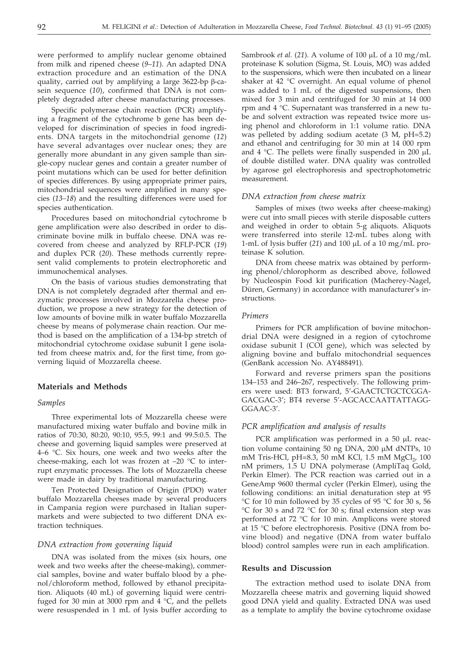were performed to amplify nuclear genome obtained from milk and ripened cheese (*9*–*11*). An adapted DNA extraction procedure and an estimation of the DNA quality, carried out by amplifying a large 3622-bp  $\beta$ -casein sequence (*10*), confirmed that DNA is not completely degraded after cheese manufacturing processes.

Specific polymerase chain reaction (PCR) amplifying a fragment of the cytochrome b gene has been developed for discrimination of species in food ingredients. DNA targets in the mitochondrial genome (*12*) have several advantages over nuclear ones; they are generally more abundant in any given sample than single-copy nuclear genes and contain a greater number of point mutations which can be used for better definition of species differences. By using appropriate primer pairs, mitochondrial sequences were amplified in many species (*13–18*) and the resulting differences were used for species authentication.

Procedures based on mitochondrial cytochrome b gene amplification were also described in order to discriminate bovine milk in buffalo cheese. DNA was recovered from cheese and analyzed by RFLP-PCR (*19*) and duplex PCR (*20*). These methods currently represent valid complements to protein electrophoretic and immunochemical analyses.

On the basis of various studies demonstrating that DNA is not completely degraded after thermal and enzymatic processes involved in Mozzarella cheese production, we propose a new strategy for the detection of low amounts of bovine milk in water buffalo Mozzarella cheese by means of polymerase chain reaction. Our method is based on the amplification of a 134-bp stretch of mitochondrial cytochrome oxidase subunit I gene isolated from cheese matrix and, for the first time, from governing liquid of Mozzarella cheese.

#### **Materials and Methods**

# *Samples*

Three experimental lots of Mozzarella cheese were manufactured mixing water buffalo and bovine milk in ratios of 70:30, 80:20, 90:10, 95:5, 99:1 and 99.5:0.5. The cheese and governing liquid samples were preserved at 4–6 °C. Six hours, one week and two weeks after the cheese-making, each lot was frozen at  $-20$  °C to interrupt enzymatic processes. The lots of Mozzarella cheese were made in dairy by traditional manufacturing.

Ten Protected Designation of Origin (PDO) water buffalo Mozzarella cheeses made by several producers in Campania region were purchased in Italian supermarkets and were subjected to two different DNA extraction techniques.

# *DNA extraction from governing liquid*

DNA was isolated from the mixes (six hours, one week and two weeks after the cheese-making), commercial samples, bovine and water buffalo blood by a phenol/chloroform method, followed by ethanol precipitation. Aliquots (40 mL) of governing liquid were centrifuged for 30 min at 3000 rpm and  $\tilde{4}$  °C, and the pellets were resuspended in 1 mL of lysis buffer according to

Sambrook *et al.* (21). A volume of 100 µL of a 10 mg/mL proteinase K solution (Sigma, St. Louis, MO) was added to the suspensions, which were then incubated on a linear shaker at 42 °C overnight. An equal volume of phenol was added to 1 mL of the digested suspensions, then mixed for 3 min and centrifuged for 30 min at 14 000 rpm and 4 °C. Supernatant was transferred in a new tube and solvent extraction was repeated twice more using phenol and chloroform in 1:1 volume ratio. DNA was pelleted by adding sodium acetate (3 M, pH=5.2) and ethanol and centrifuging for 30 min at 14 000 rpm and 4 °C. The pellets were finally suspended in 200  $\rm \mu L$ of double distilled water. DNA quality was controlled by agarose gel electrophoresis and spectrophotometric measurement.

#### *DNA extraction from cheese matrix*

Samples of mixes (two weeks after cheese-making) were cut into small pieces with sterile disposable cutters and weighed in order to obtain 5-g aliquots. Aliquots were transferred into sterile 12-mL tubes along with 1-mL of lysis buffer  $(21)$  and  $100 \mu$ L of a  $10 \text{ mg/mL}$  proteinase K solution.

DNA from cheese matrix was obtained by performing phenol/chlorophorm as described above, followed by Nucleospin Food kit purification (Macherey-Nagel, Düren, Germany) in accordance with manufacturer's instructions.

#### *Primers*

Primers for PCR amplification of bovine mitochondrial DNA were designed in a region of cytochrome oxidase subunit I (COI gene), which was selected by aligning bovine and buffalo mitochondrial sequences (GenBank accession No. AY488491).

Forward and reverse primers span the positions 134–153 and 246–267, respectively. The following primers were used: BT3 forward, 5'-GAACTCTGCTCGGA-GACGAC-3'; BT4 reverse 5'-AGCACCAATTATTAGG-GGAAC-3'.

# *PCR amplification and analysis of results*

PCR amplification was performed in a 50  $\mu$ L reaction volume containing 50 ng DNA, 200 µM dNTPs, 10 mM Tris-HCl, pH=8.3, 50 mM KCl, 1.5 mM MgCl<sub>2</sub>, 100 nM primers, 1.5 U DNA polymerase (AmpliTaq Gold, Perkin Elmer). The PCR reaction was carried out in a GeneAmp 9600 thermal cycler (Perkin Elmer), using the following conditions: an initial denaturation step at 95 °C for 10 min followed by 35 cycles of 95 °C for 30 s, 56 °C for 30 s and 72 °C for 30 s; final extension step was performed at 72 °C for 10 min. Amplicons were stored at 15 °C before electrophoresis. Positive (DNA from bovine blood) and negative (DNA from water buffalo blood) control samples were run in each amplification.

# **Results and Discussion**

The extraction method used to isolate DNA from Mozzarella cheese matrix and governing liquid showed good DNA yield and quality. Extracted DNA was used as a template to amplify the bovine cytochrome oxidase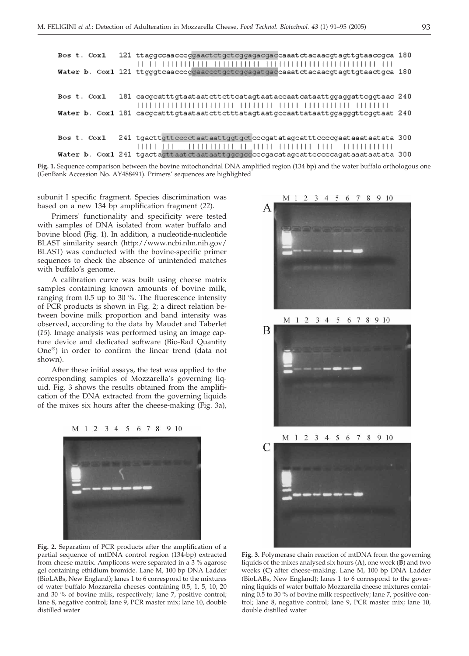| Bos t. Cox1 | 121 ttaggccaacccggaactctgctcggagacgaccaaatctacaacgtagttgtaaccgca 180                                           |
|-------------|----------------------------------------------------------------------------------------------------------------|
|             | Water b. Cox1 121 ttgggtcaacccggaaccctgctcggagatgaccaaatctacaacgtagttgtaactgca 180                             |
| Bos t. Cox1 | 181 cacqcatttgtaataatcttcttcatagtaataccaatcataattggaggattcggtaac 240<br>,,,,,,,,,,,,,,,,,,,,,,,,,,,,,,,,,,,,,, |
|             | Water b. Cox1 181 cacgcatttgtaataatcttctttatagtaatgccaattataattggagggttcggtaat 240                             |
| Bos t. Cox1 | 11111111111 11 11111<br>,,,,,,,,,,,,,                                                                          |
|             |                                                                                                                |
|             |                                                                                                                |

**Fig. 1.** Sequence comparison between the bovine mitochondrial DNA amplified region (134 bp) and the water buffalo orthologous one (GenBank Accession No. AY488491). Primers' sequences are highlighted

subunit I specific fragment. Species discrimination was based on a new 134 bp amplification fragment (*22*).

Primers' functionality and specificity were tested with samples of DNA isolated from water buffalo and bovine blood (Fig. 1). In addition, a nucleotide-nucleotide BLAST similarity search (http://www.ncbi.nlm.nih.gov/ BLAST) was conducted with the bovine-specific primer sequences to check the absence of unintended matches with buffalo's genome.

A calibration curve was built using cheese matrix samples containing known amounts of bovine milk, ranging from 0.5 up to 30 %. The fluorescence intensity of PCR products is shown in Fig. 2; a direct relation between bovine milk proportion and band intensity was observed, according to the data by Maudet and Taberlet (*15*). Image analysis was performed using an image capture device and dedicated software (Bio-Rad Quantity One®) in order to confirm the linear trend (data not shown).

After these initial assays, the test was applied to the corresponding samples of Mozzarella's governing liquid. Fig. 3 shows the results obtained from the amplification of the DNA extracted from the governing liquids of the mixes six hours after the cheese-making (Fig. 3a),





**Fig. 2.** Separation of PCR products after the amplification of a partial sequence of mtDNA control region (134-bp) extracted from cheese matrix. Amplicons were separated in a 3 % agarose gel containing ethidium bromide. Lane M, 100 bp DNA Ladder (BioLABs, New England); lanes 1 to 6 correspond to the mixtures of water buffalo Mozzarella cheeses containing 0.5, 1, 5, 10, 20 and 30 % of bovine milk, respectively; lane 7, positive control; lane 8, negative control; lane 9, PCR master mix; lane 10, double distilled water





M 1 2 3 4 5 6 7 8 9 10 C

**Fig. 3.** Polymerase chain reaction of mtDNA from the governing liquids of the mixes analysed six hours (**A**), one week (**B**) and two weeks (**C**) after cheese-making. Lane M, 100 bp DNA Ladder (BioLABs, New England); lanes 1 to 6 correspond to the governing liquids of water buffalo Mozzarella cheese mixtures containing 0.5 to 30 % of bovine milk respectively; lane 7, positive control; lane 8, negative control; lane 9, PCR master mix; lane 10, double distilled water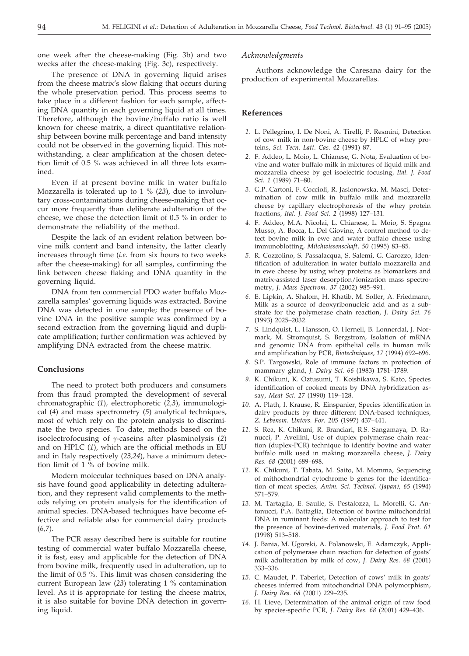one week after the cheese-making (Fig. 3b) and two weeks after the cheese-making (Fig. 3c), respectively.

The presence of DNA in governing liquid arises from the cheese matrix's slow flaking that occurs during the whole preservation period. This process seems to take place in a different fashion for each sample, affecting DNA quantity in each governing liquid at all times. Therefore, although the bovine/buffalo ratio is well known for cheese matrix, a direct quantitative relationship between bovine milk percentage and band intensity could not be observed in the governing liquid. This notwithstanding, a clear amplification at the chosen detection limit of 0.5 % was achieved in all three lots examined.

Even if at present bovine milk in water buffalo Mozzarella is tolerated up to 1 % (*23*), due to involuntary cross-contaminations during cheese-making that occur more frequently than deliberate adulteration of the cheese, we chose the detection limit of 0.5 % in order to demonstrate the reliability of the method.

Despite the lack of an evident relation between bovine milk content and band intensity, the latter clearly increases through time (*i.e.* from six hours to two weeks after the cheese-making) for all samples, confirming the link between cheese flaking and DNA quantity in the governing liquid.

DNA from ten commercial PDO water buffalo Mozzarella samples' governing liquids was extracted. Bovine DNA was detected in one sample; the presence of bovine DNA in the positive sample was confirmed by a second extraction from the governing liquid and duplicate amplification; further confirmation was achieved by amplifying DNA extracted from the cheese matrix.

# **Conclusions**

The need to protect both producers and consumers from this fraud prompted the development of several chromatographic (*1*), electrophoretic (*2,3*), immunological (*4*) and mass spectrometry (*5*) analytical techniques, most of which rely on the protein analysis to discriminate the two species. To date, methods based on the isoelectrofocusing of  $\gamma$ -caseins after plasminolysis (2) and on HPLC (*1*), which are the official methods in EU and in Italy respectively (*23,24*), have a minimum detection limit of 1 % of bovine milk.

Modern molecular techniques based on DNA analysis have found good applicability in detecting adulteration, and they represent valid complements to the methods relying on protein analysis for the identification of animal species. DNA-based techniques have become effective and reliable also for commercial dairy products (*6,7*).

The PCR assay described here is suitable for routine testing of commercial water buffalo Mozzarella cheese, it is fast, easy and applicable for the detection of DNA from bovine milk, frequently used in adulteration, up to the limit of 0.5 %. This limit was chosen considering the current European law (*23*) tolerating 1 % contamination level. As it is appropriate for testing the cheese matrix, it is also suitable for bovine DNA detection in governing liquid.

## *Acknowledgments*

Authors acknowledge the Caresana dairy for the production of experimental Mozzarellas.

# **References**

- *1.* L. Pellegrino, I. De Noni, A. Tirelli, P. Resmini, Detection of cow milk in non-bovine cheese by HPLC of whey proteins, *Sci. Tecn. Latt. Cas*. *42* (1991) 87.
- *2.* F. Addeo, L. Moio, L. Chianese, G. Nota, Evaluation of bovine and water buffalo milk in mixtures of liquid milk and mozzarella cheese by gel isoelectric focusing, *Ital. J. Food Sci. 1* (1989) 71–80.
- *3.* G.P. Cartoni, F. Coccioli, R. Jasionowska, M. Masci, Determination of cow milk in buffalo milk and mozzarella cheese by capillary electrophoresis of the whey protein fractions, *Ital. J. Food Sci. 2* (1998) 127–131.
- *4.* F. Addeo, M.A. Nicolai, L. Chianese, L. Moio, S. Spagna Musso, A. Bocca, L. Del Giovine, A control method to detect bovine milk in ewe and water buffalo cheese using immunoblotting, *Milchwissenschaft, 50* (1995) 83–85.
- *5.* R. Cozzolino, S. Passalacqua, S. Salemi, G. Garozzo, Identification of adulteration in water buffalo mozzarella and in ewe cheese by using whey proteins as biomarkers and matrix-assisted laser desorption/ionization mass spectrometry, *J. Mass Spectrom. 37* (2002) 985–991.
- *6.* E. Lipkin, A. Shalom, H. Khatib, M. Soller, A. Friedmann, Milk as a source of deoxyribonucleic acid and as a substrate for the polymerase chain reaction, *J. Dairy Sci. 76* (1993) 2025–2032.
- *7.* S. Lindquist, L. Hansson, O. Hernell, B. Lonnerdal, J. Normark, M. Stromquist, S. Bergstrom, Isolation of mRNA and genomic DNA from epithelial cells in human milk and amplification by PCR, *Biotechniques, 17* (1994) 692–696.
- *8.* S.P. Targowski, Role of immune factors in protection of mammary gland, *J. Dairy Sci. 66* (1983) 1781–1789.
- *9.* K. Chikuni, K. Oztusumi, T. Koishikawa, S. Kato, Species identification of cooked meats by DNA hybridization assay, *Meat Sci. 27* (1990) 119–128.
- *10.* A. Plath, I. Krause, R. Einspanier, Species identification in dairy products by three different DNA-based techniques, *Z. Lebensm. Unters. For. 205* (1997) 437–441.
- *11.* S. Rea, K. Chikuni, R. Branciari, R.S. Sangamaya, D. Ranucci, P. Avellini, Use of duplex polymerase chain reaction (duplex-PCR) technique to identify bovine and water buffalo milk used in making mozzarella cheese, *J. Dairy Res. 68* (2001) 689–698.
- *12.* K. Chikuni, T. Tabata, M. Saito, M. Momma, Sequencing of mithochondrial cytochrome b genes for the identification of meat species*, Anim. Sci. Technol. (Japan), 65* (1994) 571–579.
- *13.* M. Tartaglia, E. Saulle, S. Pestalozza, L. Morelli, G. Antonucci, P.A. Battaglia, Detection of bovine mitochondrial DNA in ruminant feeds: A molecular approach to test for the presence of bovine-derived materials, *J. Food Prot. 61* (1998) 513–518.
- *14.* J. Bania, M. Ugorski, A. Polanowski, E. Adamczyk, Application of polymerase chain reaction for detection of goats' milk adulteration by milk of cow, *J. Dairy Res. 68* (2001) 333–336.
- *15.* C. Maudet, P. Taberlet, Detection of cows' milk in goats' cheeses inferred from mitochondrial DNA polymorphism, *J. Dairy Res. 68* (2001) 229–235*.*
- *16.* H. Lieve, Determination of the animal origin of raw food by species-specific PCR*, J. Dairy Res. 68* (2001) 429–436.